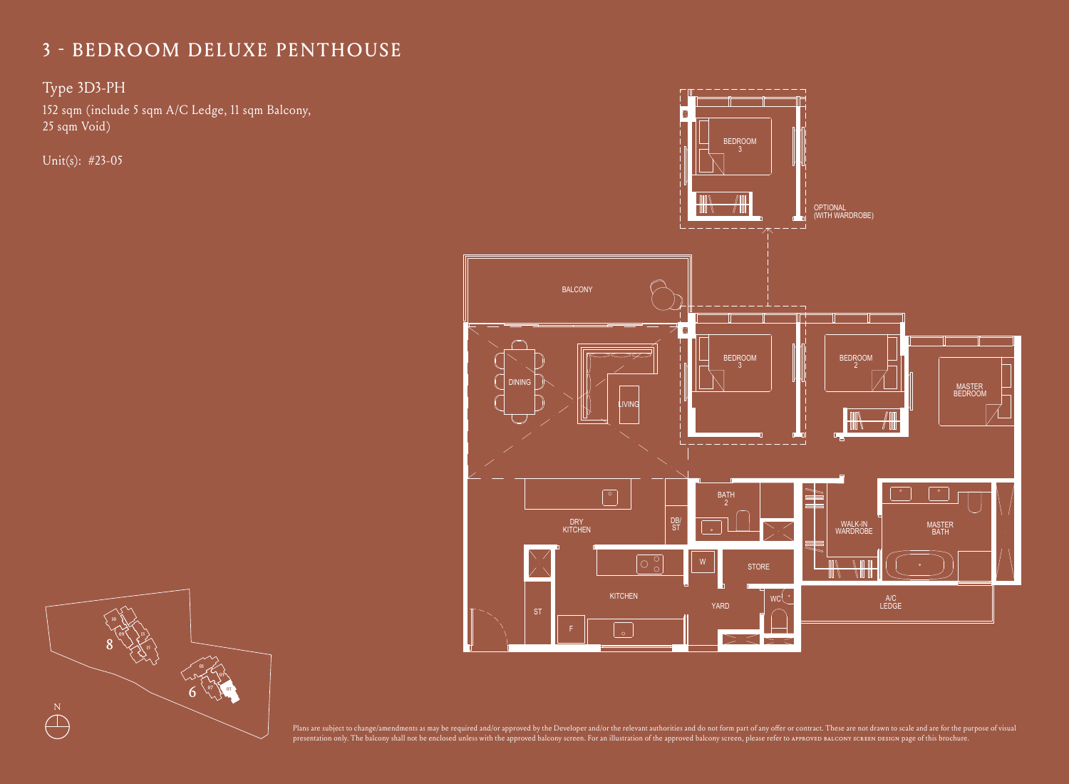### Type 3D3-PH

152 sqm (include 5 sqm A/C Ledge, 11 sqm Balcony, 25 sqm Void)

Unit(s): #23-05



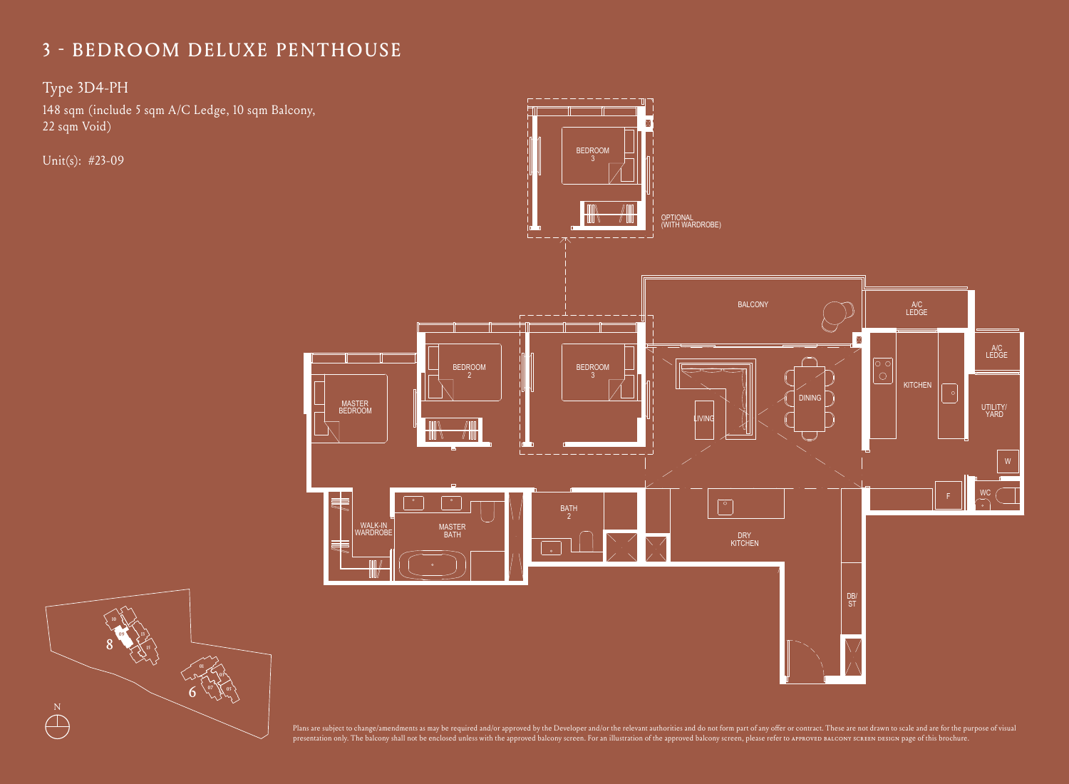Type 3D4-PH

148 sqm (include 5 sqm A/C Ledge, 10 sqm Balcony, 22 sqm = 22 sqm = 22 sqm + 22 sqm + 22 sqm + 22 sqm + 22 sqm + 22 sqm + 22 sqm + 22 sqm + 22 sqm + 22 sqm + 22 sqm + 22 sqm + 22 sqm + 22 sqm + 22 sqm + 22 sqm + 22 sqm + 2 22 sqm Void)

Unit(s): #23-09



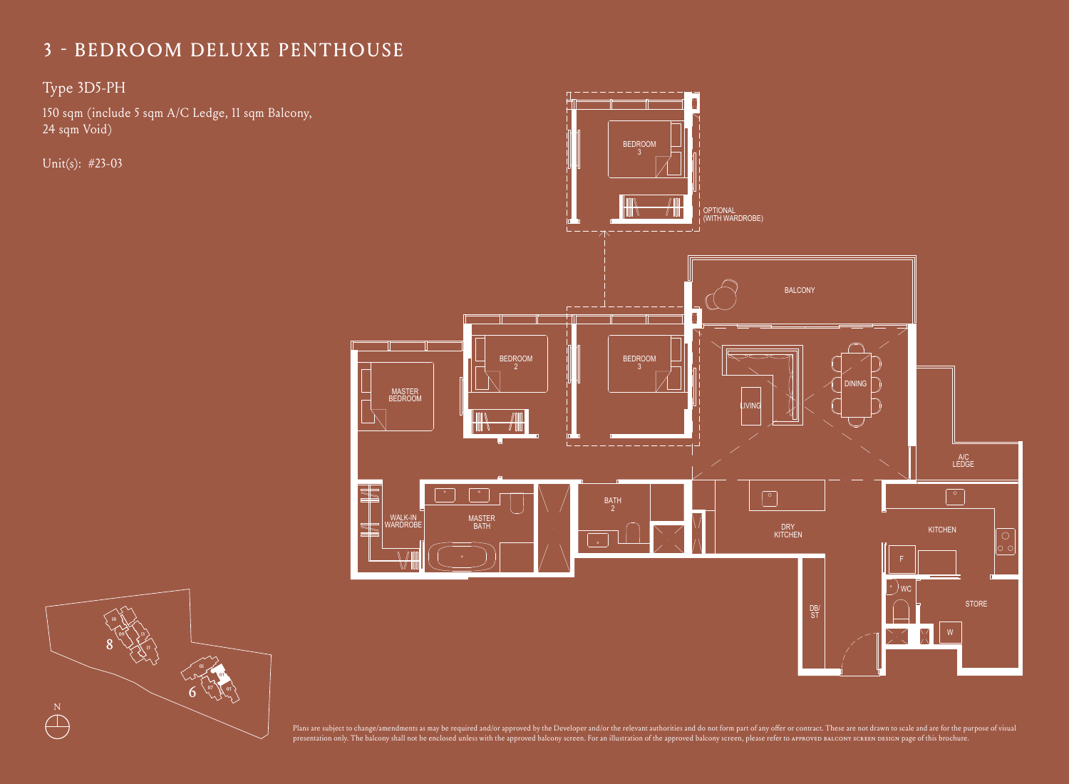Type 3D5-PH

150 sqm (include 5 sqm A/C Ledge, 11 sqm Balcony, 24 sqm Void)

Unit(s): #23-03



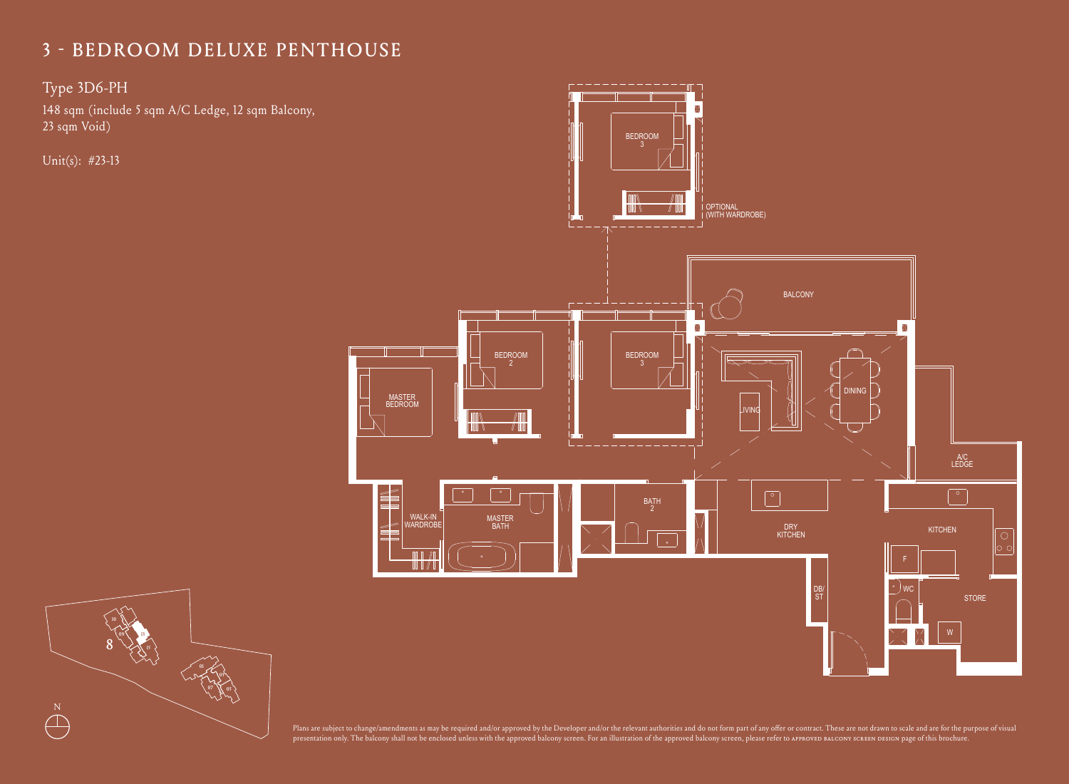Type 3D6-PH

148 sqm (include 5 sqm A/C Ledge, 12 sqm Balcony, 23 sqm Void)

Unit(s): #23-13



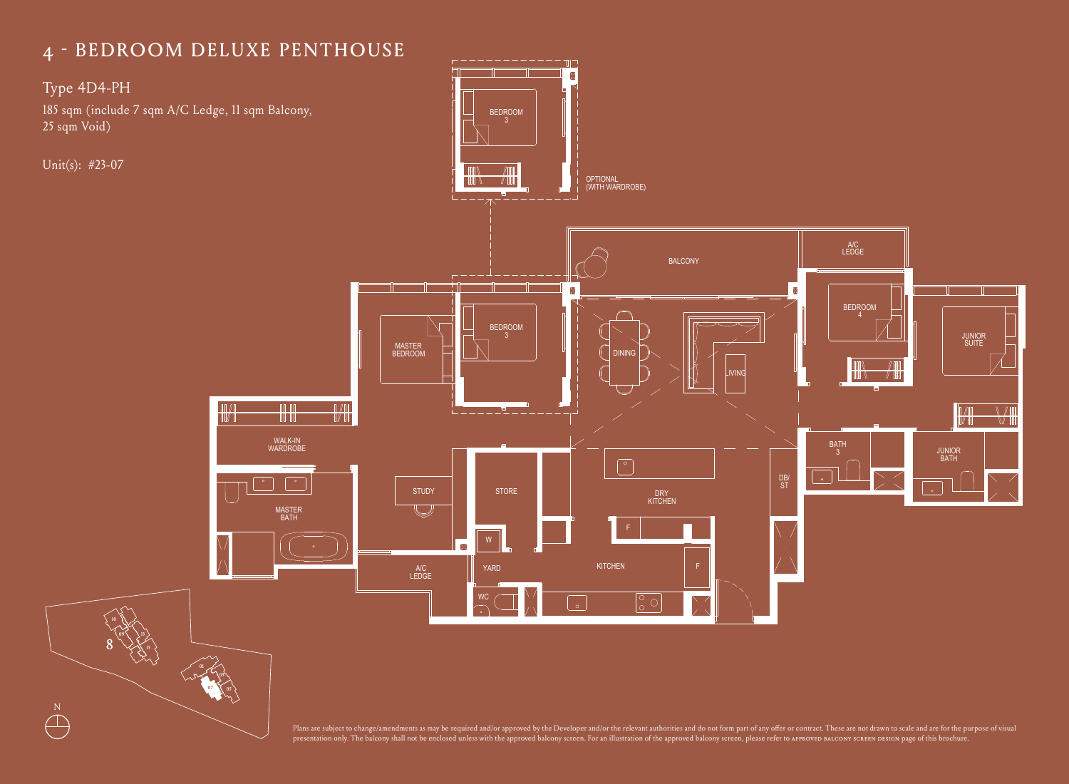### THE REDROOM DELIJVE BENTHOUSE 4 - BEDROOM DELUXE PENTHOUSE

 $Type 4D4-PH$ 

185 sqm (include 7 sqm A/C Ledge, 11 sqm Balcony, 25 sqm Void)

Unit(s): #23-07

 $\bigoplus^N$ 

8

**09**

**01** 

**03 05 07**

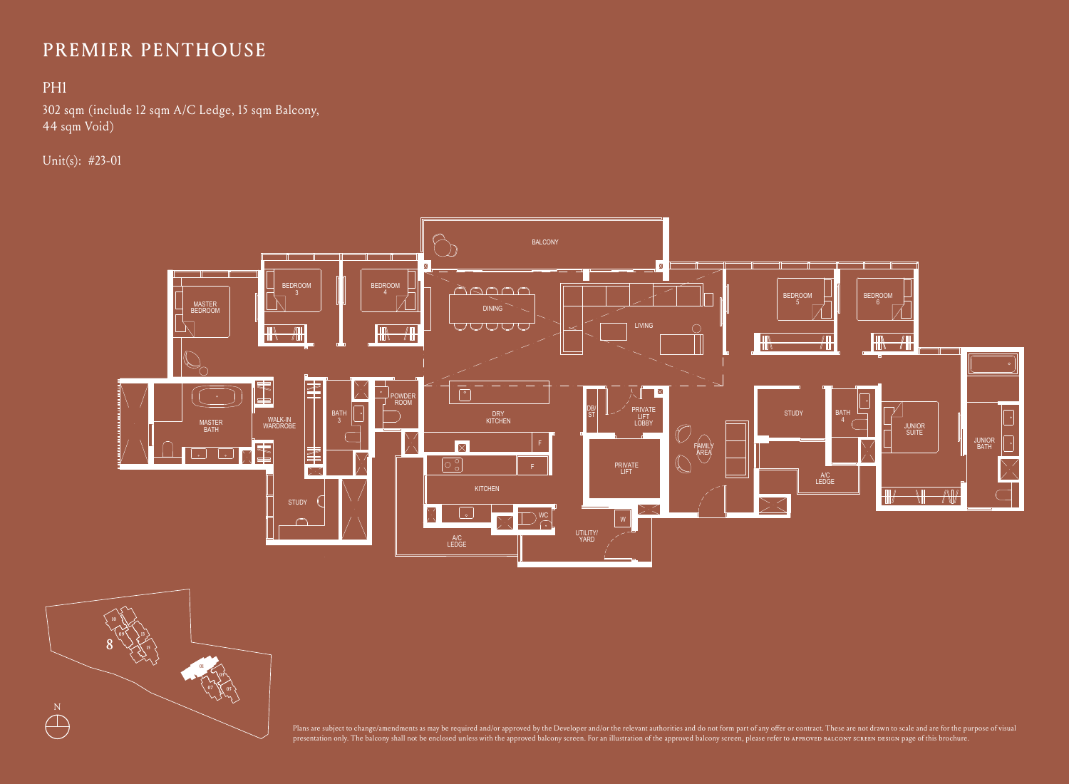## PREMIER PENTHOUSE

#### PH1 TYPE PH1 PREMIER PENTHOUSE PENTHOUSE PENTHOUSE PENTHOUSE PENTHOUSE PENTHOUSE PENTHOUSE PENTHOUSE PENTHOUSE PEN<br>PENTHOUSE PENTHOUSE PENTHOUSE PENTHOUSE PENTHOUSE PENTHOUSE PENTHOUSE PENTHOUSE PENTHOUSE PENTHOUSE PENTHOUSE

302 sqm (include 12 sqm A/C Ledge, 15 sqm Balcony,  $44$  sqm Void)  $\overline{a}$  square 12 square 12 square 12 square 12 square 12 square 12 square 12 square 12 square 12 square 12 square 12 square 12 square 12 square 12 square 12 square 12 square 12 square 12 square 12 square

Unit(s): #23-01





presentation only. The balcony shall not be enclosed unless with the approved balcony screen. For an illustration of the approved balcony screen, please refer to approved baLcony screen Design page of this brochure. Plans are subject to change/amendments as may be required and/or approved by the Developer and/or the relevant authorities and do not form part of any offer or contract. These are not drawn to scale and are for the purpose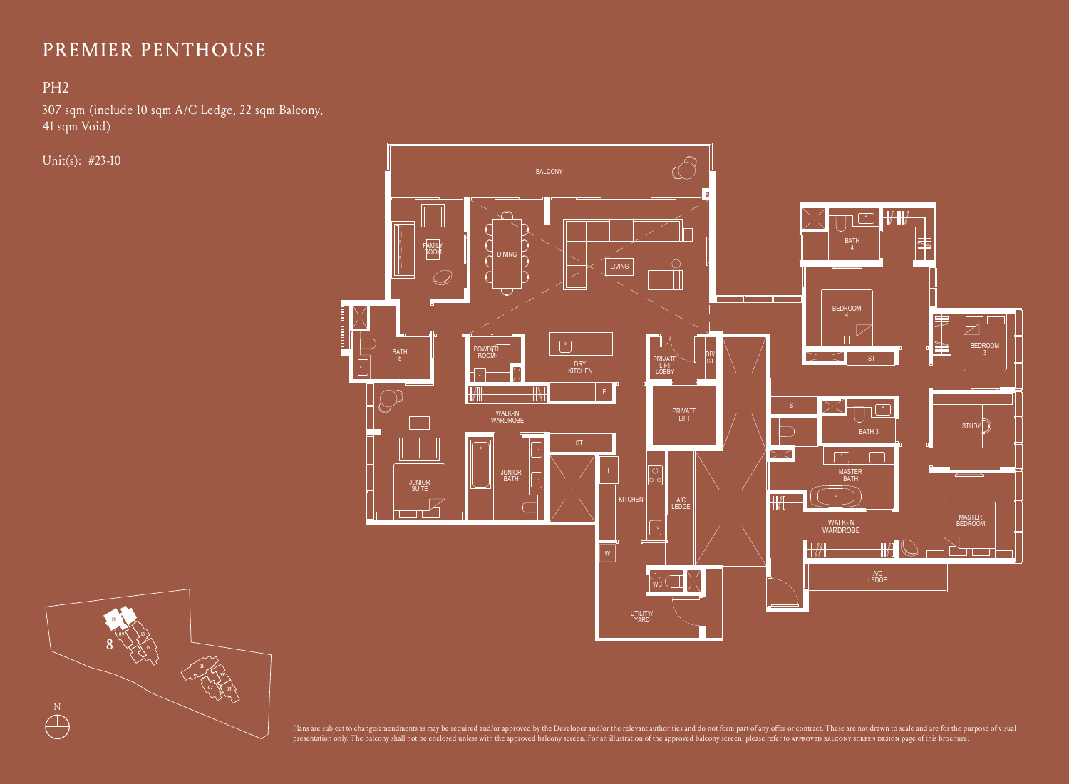#### THOUSE PERSON NEWSFILM AND RESIDENCE PERSON NEWSFILM AND RESIDENCE PERSON NEWSFILM AND RESIDENCE PERSON NEWSFILM AND RESIDENCE PERSON NEWSFILM AND RESIDENCE PERSON NEWSFILM AND RELEASED FOR THE PERSON NEWSFILM AND RELEASED PREMIER PENTHOUSE

### PH2

307 sqm (include 10 sqm A/C Ledge, 22 sqm Balcony, 41 sqm Void)

Unit(s): #23-10





presentation only. The balcony shall not be enclosed unless with the approved balcony screen. For an illustration of the approved balcony screen, please refer to APPROVED BALCONY SCREEN DESIGN page of this brochure. Plans are subject to change/amendments as may be required and/or approved by the Developer and/or the relevant authorities and do not form part of any offer or contract. These are not drawn to scale and are for the purpose